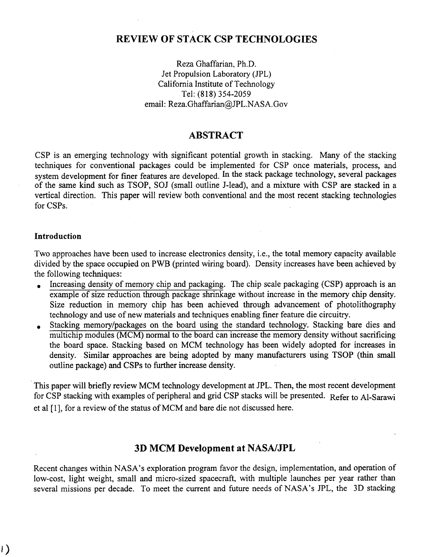# **REVIEW OF STACK CSP TECHNOLOGIES**

Reza Ghaffarian, Ph.D. Jet Propulsion Laboratory (JPL) California Institute of Technology Tel: **(818)** 354-2059 email: [Reza.Ghaffarian@JPL.NASA.Gov](mailto:Reza.Ghaffarian@JPL.NASA.Gov) 

## **ABSTRACT**

CSP is an emerging technology with significant potential growth in stacking. Many of the stacking techniques for conventional packages could be implemented for CSP once materials, process, and system development for finer features are developed. In the stack package technology, several packages of the same kind such as TSOP, SOJ (small outline J-lead), and a mixture with CSP are stacked in a vertical direction. This paper will review both conventional and the most recent stacking technologies for CSPs.

#### **Introduction**

Two approaches have been used to increase electronics density, i.e., the total memory capacity available divided by the space occupied on PWB (printed wiring board). Density increases have been achieved by the following techniques:

- . Increasing density of memory chip and packaging. The chip scale packaging (CSP) approach is an example of size reduction through package shrinkage without increase in the memory chip density. Size reduction in memory chip has been achieved through advancement of photolithography technology and use of new materials and techniques enabling finer feature die circuitry.
- . Stacking memory/packages on the board using the standard technology. Stacking bare dies and multichip modules (MCM) normal to the board can increase the memory density without sacrificing the board space. Stacking based on MCM technology has been widely adopted for increases in density. Similar approaches are being adopted by many manufacturers using TSOP (thin small outline package) and CSPs to further increase density.

This paper will briefly review MCM technology development at JPL. Then, the most recent development for CSP stacking with examples of peripheral and grid CSP stacks will be presented. Refer to Al-Sarawi et a1 [l], for a review of the status of MCM and bare die not discussed here.

# **3D MCM Development at NASNJPL**

Recent changes within NASA's exploration program favor the design, implementation, and operation of low-cost, light weight, small and micro-sized spacecraft, with multiple launches per year rather than several missions per decade. To meet the current and future needs of NASA's JPL, the 3D stacking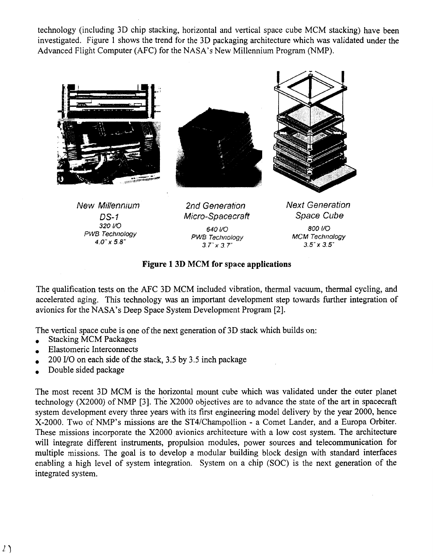<span id="page-1-0"></span>technology (including 3D chip stacking, horizontal and vertical space cube MCM stacking) have been investigated. Figure 1 shows the trend for the 3D packaging architecture which was validated under the Advanced Flight Computer (AFC) for the NASA's New Millennium Program (NMP).



#### **Figure 1 3D MCM for space applications**

The qualification tests on the AFC **3D** MCM included vibration, thermal vacuum, thermal cycling, and accelerated aging. This technology was an important development step towards further integration of avionics for the NASA's Deep Space System Development Program [2].

The vertical space cube is one of the next generation of 3D stack which builds on: The vertical space cube is one<br>Stacking MCM Packages

- Stacking MCM Packages<br>Elastomeric Interconnects
- 
- Elastomeric Interconnects<br>
200 I/O on each side of the stack, 3.5 by 3.5 inch package .<br>200 I/O on each side of<br>Double sided package
- 

The most recent 3D MCM is the horizontal mount cube which was validated under the outer planet technology (X2000) of NMP **[3].** The X2000 objectives are to advance the state of the art in spacecraft system development every three years with its first engineering model delivery by the year 2000, hence X-2000. Two of NMP's missions are the ST4/Champollion - a Comet Lander, and a Europa Orbiter. These missions incorporate the X2000 avionics architecture with a low cost system. The architecture will integrate different instruments, propulsion modules, power sources and telecommunication for multiple missions. The goal is to develop a modular building block design with standard interfaces enabling a high level of system integration. System on a chip (SOC) is the next generation of the integrated system.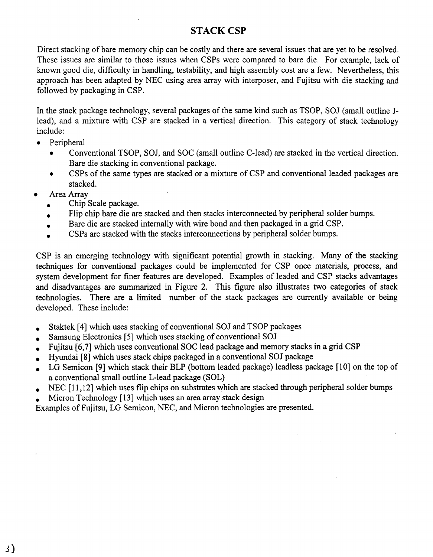# **STACK CSP**

Direct stacking of bare memory chip can be costly and there are several issues that are yet to be resolved. These issues are similar to those issues when CSPs were compared to bare die. For example, lack of known good die, difficulty in handling, testability, and high assembly cost are a few. Nevertheless, this approach has been adapted by NEC using area array with interposer, and Fujitsu with die stacking and followed by packaging in CSP.

In the stack package technology, several packages of the same kind such as TSOP, SOJ (small outline Jlead), and a mixture with CSP are stacked in a vertical direction. This category of stack technology include:

- *0* Peripheral
	- Conventional TSOP, SOJ, and SOC (small outline C-lead) are stacked in the vertical direction. Bare die stacking in conventional package.
	- CSPs of the same types are stacked or a mixture of CSP and conventional leaded packages are stacked.
- Area Array
	- . Chip Scale package.
	- Area Array<br>
	 Chip Scale package.<br>
	 Flip chip bare die are stacked and then stacks interconnected by peripheral solder bumps. • Chip Scale package.<br>• Flip chip bare die are stacked and then stacks interconnected by peripheral solder<br>• Bare die are stacked internally with wire bond and then packaged in a grid CSP.
	- Bare die are stacked internally with wire bond and then packaged in a grid CSP.<br>CSPs are stacked with the stacks interconnections by peripheral solder bumps.
	-

CSP is an emerging technology with significant potential growth in stacking. Many of the stacking techniques for conventional packages could be implemented for CSP once materials, process, and system development for finer features are developed. Examples of leaded and CSP stacks advantages and disadvantages are summarized in [Figure](#page-3-0) **2.** This figure also illustrates two categories of stack technologies. There are a limited number of the stack packages are currently available or being developed. These include:

- . Staktek **[4]** which uses stacking of conventional SOJ and TSOP packages
- . Samsung Electronics **[5]** which uses stacking of conventional SOJ
- . Fujitsu **[6,7]** which uses conventional SOC lead package and memory stacks in a grid CSP
- . Hyundai **[8]** which uses stack chips packaged in a conventional SOJ package
- . LG Semicon **[9]** which stack their BLP (bottom leaded package) leadless package [ **101** on the top of • LG semicon [9] which stack their BLF (bottom leaded package) leadiess package [10] on the top of a conventional small outline L-lead package (SOL)<br>• NEC [11,12] which uses flip chips on substrates which are stacked thro a conventional small outline L-lead package (SOL)
- NEC [11,12] which uses flip chips on substrates which are stac<br>• Micron Technology [13] which uses an area array stack design<br>• Micron Technology [13] which uses an area array stack design
- 

Examples of Fujitsu, LG Semicon, NEC, and Micron technologies are presented.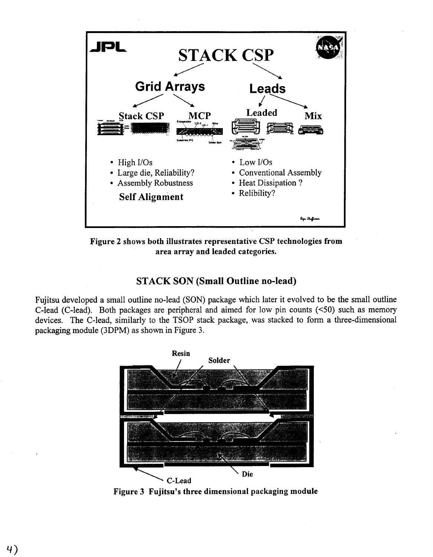<span id="page-3-0"></span>

**Figure 2 shows both illustrates representative CSP technologies from area array and leaded categories.** 

# **STACK SON (Small Outline no-lead)**

Fujitsu developed a small outline no-lead (SON) package which later it evolved to be the small outline C-lead (C-lead). Both packages are peripheral and aimed for low pin counts **(<50)** such as memory devices. The C-lead, similarly to the TSOP stack package, was stacked to form a three-dimensional packaging module (3DPM) as shown in Figure **3.** 



Figure 3 Fujitsu's three dimensional packaging module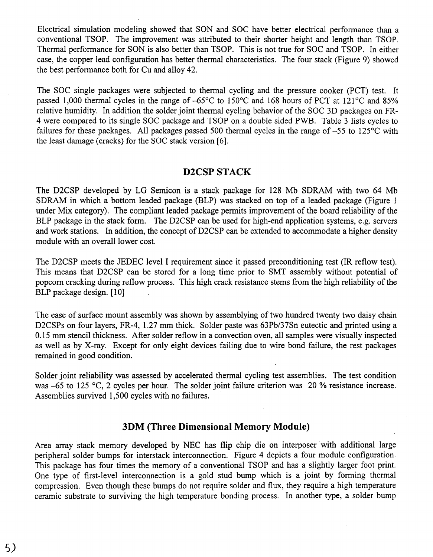Electrical simulation modeling showed that SON and SOC have better electrical performance than a conventional TSOP. The improvement was attributed to their shorter height and length than TSOP. Thermal performance for SON is also better than TSOP. This is not true for SOC and TSOP. In either case, the copper lead configuration has better thermal characteristics. The four stack (Figure 9) showed the best performance both for Cu and alloy 42.

The SOC single packages were subjected to thermal cycling and the pressure cooker (PCT) test. It passed 1,000 thermal cycles in the range of -65°C to 150°C and 168 hours of PCT at 121°C and 85% relative humidity. In addition the solder joint thermal cycling behavior of the SOC 3D packages on FR-4 were compared to its single SOC package and TSOP on a double sided PWB. Table 3 lists cycles to failures for these packages. All packages passed 500 thermal cycles in the range of  $-55$  to 125 $\degree$ C with the least damage (cracks) for the SOC stack version [6].

### **D2CSP STACK**

The D2CSP developed by LG Semicon is a stack package for 128 **Mb** SDRAM with two 64 Mb SDRAM in which a bottom leaded package (BLP) was stacked on top of a leaded package [\(Figure 1](#page-1-0) under Mix category). The compliant leaded package permits improvement of the board reliability of the BLP package in the stack form. The D2CSP can be used for high-end application systems, e.g. servers and work stations. In addition, the concept of D2CSP can be extended to accommodate a higher density module with an overall lower cost.

The D2CSP meets the JEDEC level I requirement since it passed preconditioning test (IR reflow test). This means that D2CSP can be stored for a long time prior to SMT assembly without potential of popcorn cracking during reflow process. This high crack resistance stems from the high reliability of the BLP package design. [10]

The ease of surface mount assembly was shown by assemblying of two hundred twenty two daisy chain D2CSPs on four layers, FR-4, 1.27 mm thick. Solder paste was 63Pb/37Sn eutectic and printed using a 0.15 mm stencil thickness. After solder reflow in a convection oven, all samples were visually inspected as well as by X-ray. Except for only eight devices failing due to wire bond failure, the rest packages remained in good condition.

Solder joint reliability was assessed by accelerated thermal cycling test assemblies. The test condition was -65 to 125 °C, 2 cycles per hour. The solder joint failure criterion was 20 % resistance increase. Assemblies survived 1,500 cycles with no failures.

# **3DM (Three Dimensional Memory Module)**

Area array stack memory developed by NEC has flip chip die on interposer 'with additional large peripheral solder bumps for interstack interconnection. [Figure 4](#page-5-0) depicts a four module configuration. This package has four times the memory of a conventional TSOP and has a slightly larger foot print. One type of first-level interconnection is a gold stud bump which is a joint by forming thermal compression. Even though these bumps do not require solder and **flux,** they require a high temperature ceramic substrate to surviving the high temperature bonding process. In another type, a solder bump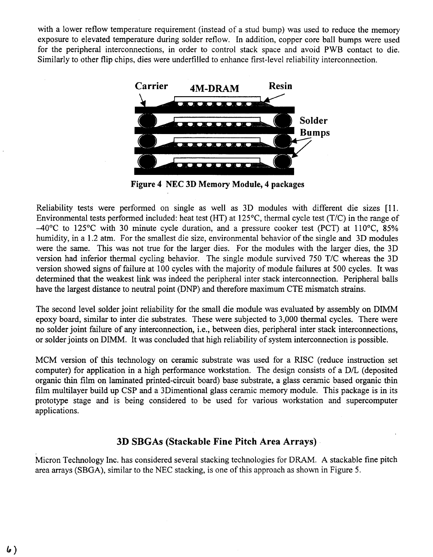<span id="page-5-0"></span>with a lower reflow temperature requirement (instead of a stud bump) was used to reduce the memory exposure to elevated temperature during solder reflow. In addition, copper core ball bumps were used for the peripheral interconnections, in order to control stack space and avoid PWB contact to die. Similarly to other flip chips, dies were underfilled to enhance first-level reliability interconnection.



**Figure 4 NEC 3D Memory Module, 4 packages** 

Reliability tests were performed on single as well as 3D modules with different die sizes [l 1. Environmental tests performed included: heat test (HT) at 125"C, thermal cycle test (T/C) in the range of -40°C to 125°C with 30 minute cycle duration, and a pressure cooker test (PCT) at llO"C, **85%**  humidity, in a 1.2 atm. For the smallest die size, environmental behavior of the single and 3D modules were the same. This was not true for the larger dies. For the modules with the larger dies, the 3D version had inferior thermal cycling behavior. The single module survived 750 T/C whereas the 3D version showed signs of failure at 100 cycles with the majority of module failures at 500 cycles. It was determined that the weakest link was indeed the peripheral inter stack interconnection. Peripheral balls have the largest distance to neutral point (DNP) and therefore maximum CTE mismatch strains.

The second level solder joint reliability for the small die module was evaluated by assembly on DIMM epoxy board, similar to inter die substrates. These were subjected to 3,000 thermal cycles. There were no solder joint failure of any interconnection, i.e., between dies, peripheral inter stack interconnections, or solder joints on DIMM. It was concluded that high reliability of system interconnection is possible.

MCM version of this technology on ceramic substrate was used for a RISC (reduce instruction set computer) for application in a high performance workstation. The design consists of a D/L (deposited organic thin film on laminated printed-circuit board) base substrate, a glass ceramic based organic thin film multilayer build up CSP and a 3Dimentional glass ceramic memory module. This package is in its prototype stage and is being considered to be used for various workstation and supercomputer applications.

## **3D SBGAs (Stackable Fine Pitch Area Arrays)**

Micron Technology Inc. has considered several stacking technologies for DRAM. **A** stackable fine pitch area arrays **(SBGA),** similar to the NEC stacking, is one of this approach as shown in Figure *5.*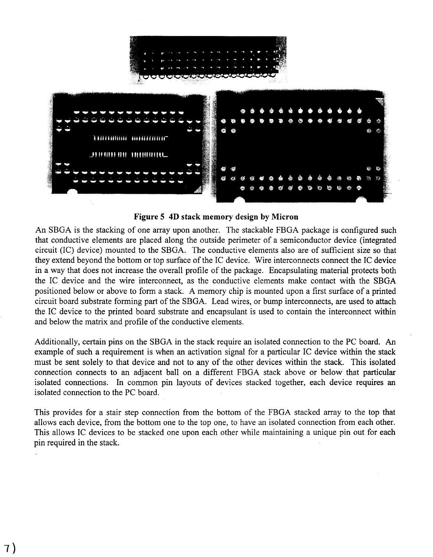

#### **Figure 5 4D stack memory design by Micron**

An SBGA is the stacking of one array upon another. The stackable FBGA package is configured such that conductive elements are placed along the outside perimeter of a semiconductor device (integrated circuit (IC) device) mounted to the SBGA. The conductive elements also are of sufficient size so that they extend beyond the bottom or top surface of the IC device. Wire interconnects connect the IC device in a way that does not increase the overall profile of the package. Encapsulating material protects both the IC device and the wire interconnect, as the conductive elements make contact with the **SBGA**  positioned below or above to form a stack. A memory chip is mounted upon a first surface of a printed circuit board substrate forming part of the SBGA. Lead wires, or bump interconnects, are used to attach the IC device to the printed board substrate and encapsulant is used to contain the interconnect within and below the matrix and profile of the conductive elements.

Additionally, certain pins on the SBGA in the stack require an isolated connection to the PC board. **An**  example of such a requirement is when an activation signal for a particular IC device within the stack must be sent solely to that device and not to any of the other devices within the stack. This isolated connection connects to an adjacent ball on a different FBGA stack above or below that particular isolated connections. In common pin layouts of devices stacked together, each device requires an isolated connection to the PC board.

This provides for a stair step connection from the bottom of the FBGA stacked array to the top that allows each device, from the bottom one to the top one, to have an isolated connection from each other. This allows IC devices to be stacked one upon each other while maintaining a unique pin out for each pin required in the stack.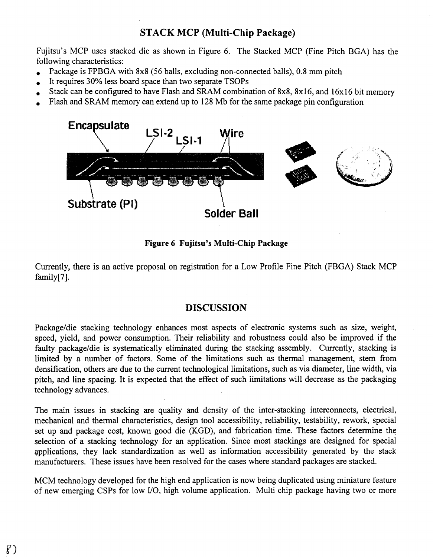# **STACK MCP (Multi-Chip Package)**

Fujitsu's MCP uses stacked die as shown in Figure 6. The Stacked MCP (Fine Pitch BGA) has the following characteristics: rujisu's MCI uses stacked are as shown in Figure 6. The stacked MCI (Fine Fitch<br>following characteristics:<br>Package is FPBGA with 8x8 (56 balls, excluding non-connected balls), 0.8 mm pitch

- 
- France Condowing characteristics:<br>
 Package is FPBGA with 8x8 (56 balls, excluding non-conr<br>
 It requires 30% less board space than two separate TSOPs
- It requires 30% less board space than two separate TSOPs<br>Stack can be configured to have Flash and SRAM combination of 8x8, 8x16, and 16x16 bit memory
- . Flash and SRAM memory can extend up to 128 Mb for the same package pin configuration



#### **Figure 6 Fujitsu's Multi-Chip Package**

Currently, there is an active proposal on registration for a Low Profile Fine Pitch (FBGA) Stack MCP family[7].

#### **DISCUSSION**

Package/die stacking technology enhances most aspects of electronic systems such as size, weight, speed, yield, and power consumption. Their reliability and robustness could also be improved if the faulty package/die is systematically eliminated during the stacking assembly. Currently, stacking is limited by a number of factors. Some of the limitations such as thermal management, stem from densification, others are due to the current technological limitations, such as via diameter, line width, via pitch, and line spacing. It is expected that the effect of such iimitations will decrease as the packaging technology advances.

The main issues in stacking are quality and density of the inter-stacking interconnects, electrical, mechanical and thermal characteristics, design tool accessibility, reliability, testability, rework, special set up and package cost, known good die (KGD), and fabrication time. These factors determine the selection of a stacking technology for an application. Since most stackings are. designed for special applications, they lack standardization as well as information accessibility generated by the stack manufacturers. These issues have been resolved for the cases where standard packages are stacked.

MCM technology developed for the high end application is now being duplicated using miniature feature of new emerging CSPs for low YO, high volume application. Multi chip package having two or more